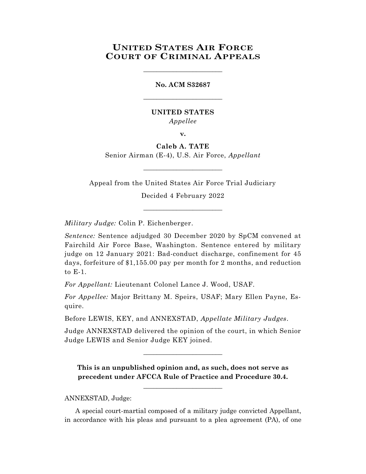## **UNITED STATES AIR FORCE COURT OF CRIMINAL APPEALS**

\_\_\_\_\_\_\_\_\_\_\_\_\_\_\_\_\_\_\_\_\_\_\_\_

# **No. ACM S32687** \_\_\_\_\_\_\_\_\_\_\_\_\_\_\_\_\_\_\_\_\_\_\_\_

### **UNITED STATES** *Appellee*

**v.**

**Caleb A. TATE** Senior Airman (E-4), U.S. Air Force, *Appellant*

\_\_\_\_\_\_\_\_\_\_\_\_\_\_\_\_\_\_\_\_\_\_\_\_

Appeal from the United States Air Force Trial Judiciary

Decided 4 February 2022 \_\_\_\_\_\_\_\_\_\_\_\_\_\_\_\_\_\_\_\_\_\_\_\_

*Military Judge:* Colin P. Eichenberger.

*Sentence:* Sentence adjudged 30 December 2020 by SpCM convened at Fairchild Air Force Base, Washington. Sentence entered by military judge on 12 January 2021: Bad-conduct discharge, confinement for 45 days, forfeiture of \$1,155.00 pay per month for 2 months, and reduction to E-1.

*For Appellant:* Lieutenant Colonel Lance J. Wood, USAF.

*For Appellee:* Major Brittany M. Speirs, USAF; Mary Ellen Payne, Esquire.

Before LEWIS, KEY, and ANNEXSTAD, *Appellate Military Judges.*

Judge ANNEXSTAD delivered the opinion of the court, in which Senior Judge LEWIS and Senior Judge KEY joined.

 $\_$ 

**This is an unpublished opinion and, as such, does not serve as precedent under AFCCA Rule of Practice and Procedure 30.4.**

**\_\_\_\_\_\_\_\_\_\_\_\_\_\_\_\_\_\_\_\_\_\_\_\_**

ANNEXSTAD, Judge:

A special court-martial composed of a military judge convicted Appellant, in accordance with his pleas and pursuant to a plea agreement (PA), of one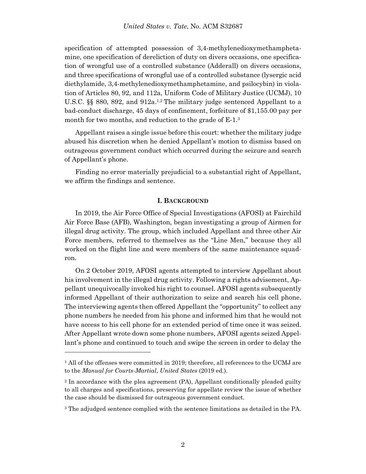#### *United States v. Tate*, No. ACM S32687

specification of attempted possession of 3,4-methylenedioxymethamphetamine, one specification of dereliction of duty on divers occasions, one specification of wrongful use of a controlled substance (Adderall) on divers occasions, and three specifications of wrongful use of a controlled substance (lysergic acid diethylamide, 3,4-methylenedioxymethamphetamine, and psilocybin) in violation of Articles 80, 92, and 112a, Uniform Code of Military Justice (UCMJ), 10 U.S.C. §§ 880, 892, and 912a.<sup>1,2</sup> The military judge sentenced Appellant to a bad-conduct discharge, 45 days of confinement, forfeiture of \$1,155.00 pay per month for two months, and reduction to the grade of E-1.<sup>3</sup>

Appellant raises a single issue before this court: whether the military judge abused his discretion when he denied Appellant's motion to dismiss based on outrageous government conduct which occurred during the seizure and search of Appellant's phone.

Finding no error materially prejudicial to a substantial right of Appellant, we affirm the findings and sentence.

#### **I. BACKGROUND**

In 2019, the Air Force Office of Special Investigations (AFOSI) at Fairchild Air Force Base (AFB), Washington, began investigating a group of Airmen for illegal drug activity. The group, which included Appellant and three other Air Force members, referred to themselves as the "Line Men," because they all worked on the flight line and were members of the same maintenance squadron.

On 2 October 2019, AFOSI agents attempted to interview Appellant about his involvement in the illegal drug activity. Following a rights advisement, Appellant unequivocally invoked his right to counsel. AFOSI agents subsequently informed Appellant of their authorization to seize and search his cell phone. The interviewing agents then offered Appellant the "opportunity" to collect any phone numbers he needed from his phone and informed him that he would not have access to his cell phone for an extended period of time once it was seized. After Appellant wrote down some phone numbers, AFOSI agents seized Appellant's phone and continued to touch and swipe the screen in order to delay the

l

<sup>&</sup>lt;sup>1</sup> All of the offenses were committed in 2019; therefore, all references to the UCMJ are to the *Manual for Courts-Martial*, *United States* (2019 ed.).

<sup>2</sup> In accordance with the plea agreement (PA), Appellant conditionally pleaded guilty to all charges and specifications, preserving for appellate review the issue of whether the case should be dismissed for outrageous government conduct.

<sup>&</sup>lt;sup>3</sup> The adjudged sentence complied with the sentence limitations as detailed in the PA.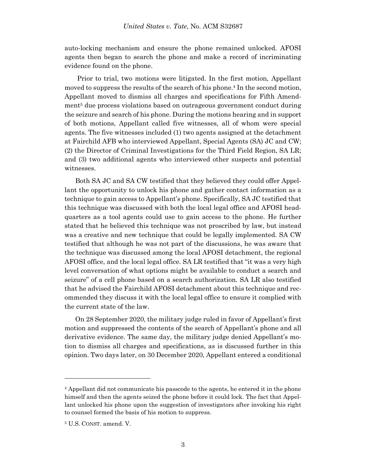auto-locking mechanism and ensure the phone remained unlocked. AFOSI agents then began to search the phone and make a record of incriminating evidence found on the phone.

Prior to trial, two motions were litigated. In the first motion, Appellant moved to suppress the results of the search of his phone. <sup>4</sup> In the second motion, Appellant moved to dismiss all charges and specifications for Fifth Amendment<sup>5</sup> due process violations based on outrageous government conduct during the seizure and search of his phone. During the motions hearing and in support of both motions, Appellant called five witnesses, all of whom were special agents. The five witnesses included (1) two agents assigned at the detachment at Fairchild AFB who interviewed Appellant, Special Agents (SA) JC and CW; (2) the Director of Criminal Investigations for the Third Field Region, SA LR; and (3) two additional agents who interviewed other suspects and potential witnesses.

Both SA JC and SA CW testified that they believed they could offer Appellant the opportunity to unlock his phone and gather contact information as a technique to gain access to Appellant's phone. Specifically, SA JC testified that this technique was discussed with both the local legal office and AFOSI headquarters as a tool agents could use to gain access to the phone. He further stated that he believed this technique was not proscribed by law, but instead was a creative and new technique that could be legally implemented. SA CW testified that although he was not part of the discussions, he was aware that the technique was discussed among the local AFOSI detachment, the regional AFOSI office, and the local legal office. SA LR testified that "it was a very high level conversation of what options might be available to conduct a search and seizure" of a cell phone based on a search authorization. SA LR also testified that he advised the Fairchild AFOSI detachment about this technique and recommended they discuss it with the local legal office to ensure it complied with the current state of the law.

On 28 September 2020, the military judge ruled in favor of Appellant's first motion and suppressed the contents of the search of Appellant's phone and all derivative evidence. The same day, the military judge denied Appellant's motion to dismiss all charges and specifications, as is discussed further in this opinion. Two days later, on 30 December 2020, Appellant entered a conditional

l

<sup>4</sup> Appellant did not communicate his passcode to the agents, he entered it in the phone himself and then the agents seized the phone before it could lock. The fact that Appellant unlocked his phone upon the suggestion of investigators after invoking his right to counsel formed the basis of his motion to suppress.

<sup>5</sup> U.S. CONST. amend. V.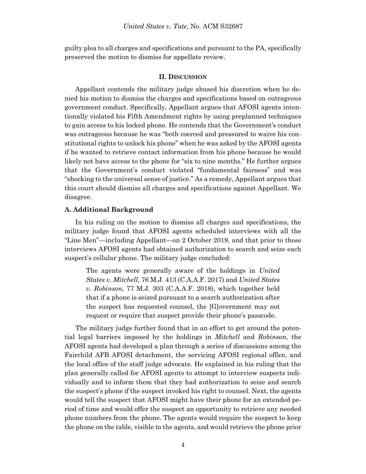guilty plea to all charges and specifications and pursuant to the PA, specifically preserved the motion to dismiss for appellate review.

#### **II. DISCUSSION**

Appellant contends the military judge abused his discretion when he denied his motion to dismiss the charges and specifications based on outrageous government conduct. Specifically, Appellant argues that AFOSI agents intentionally violated his Fifth Amendment rights by using preplanned techniques to gain access to his locked phone. He contends that the Government's conduct was outrageous because he was "both coerced and pressured to waive his constitutional rights to unlock his phone" when he was asked by the AFOSI agents if he wanted to retrieve contact information from his phone because he would likely not have access to the phone for "six to nine months." He further argues that the Government's conduct violated "fundamental fairness" and was "shocking to the universal sense of justice." As a remedy, Appellant argues that this court should dismiss all charges and specifications against Appellant. We disagree.

#### **A. Additional Background**

In his ruling on the motion to dismiss all charges and specifications, the military judge found that AFOSI agents scheduled interviews with all the "Line Men"—including Appellant—on 2 October 2019, and that prior to those interviews AFOSI agents had obtained authorization to search and seize each suspect's cellular phone. The military judge concluded:

The agents were generally aware of the holdings in *United States v. Mitchell,* 76 M.J. 413 (C.A.A.F. 2017) and *United States v. Robinson,* 77 M.J. 303 (C.A.A.F. 2018), which together held that if a phone is seized pursuant to a search authorization after the suspect has requested counsel, the [G]overnment may not request or require that suspect provide their phone's passcode.

 The military judge further found that in an effort to get around the potential legal barriers imposed by the holdings in *Mitchell* and *Robinson*, the AFOSI agents had developed a plan through a series of discussions among the Fairchild AFB AFOSI detachment, the servicing AFOSI regional office, and the local office of the staff judge advocate. He explained in his ruling that the plan generally called for AFOSI agents to attempt to interview suspects individually and to inform them that they had authorization to seize and search the suspect's phone if the suspect invoked his right to counsel. Next, the agents would tell the suspect that AFOSI might have their phone for an extended period of time and would offer the suspect an opportunity to retrieve any needed phone numbers from the phone. The agents would require the suspect to keep the phone on the table, visible to the agents, and would retrieve the phone prior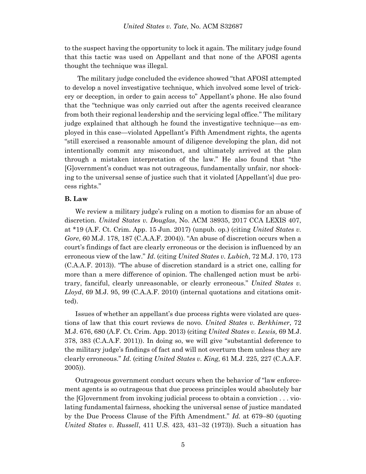to the suspect having the opportunity to lock it again. The military judge found that this tactic was used on Appellant and that none of the AFOSI agents thought the technique was illegal.

 The military judge concluded the evidence showed "that AFOSI attempted to develop a novel investigative technique, which involved some level of trickery or deception, in order to gain access to" Appellant's phone. He also found that the "technique was only carried out after the agents received clearance from both their regional leadership and the servicing legal office." The military judge explained that although he found the investigative technique—as employed in this case—violated Appellant's Fifth Amendment rights, the agents "still exercised a reasonable amount of diligence developing the plan, did not intentionally commit any misconduct, and ultimately arrived at the plan through a mistaken interpretation of the law." He also found that "the [G]overnment's conduct was not outrageous, fundamentally unfair, nor shocking to the universal sense of justice such that it violated [Appellant's] due process rights."

### **B. Law**

We review a military judge's ruling on a motion to dismiss for an abuse of discretion. *United States v. Douglas*, No. ACM 38935, 2017 CCA LEXIS 407, at \*19 (A.F. Ct. Crim. App. 15 Jun. 2017) (unpub. op.) (citing *United States v. Gore*, 60 M.J. 178, 187 (C.A.A.F. 2004)). "An abuse of discretion occurs when a court's findings of fact are clearly erroneous or the decision is influenced by an erroneous view of the law." *Id*. (citing *United States v. Lubich*, 72 M.J. 170, 173 (C.A.A.F. 2013)). "The abuse of discretion standard is a strict one, calling for more than a mere difference of opinion. The challenged action must be arbitrary, fanciful, clearly unreasonable, or clearly erroneous." *United States v. Lloyd*, 69 M.J. 95, 99 (C.A.A.F. 2010) (internal quotations and citations omitted).

Issues of whether an appellant's due process rights were violated are questions of law that this court reviews de novo. *United States v. Berkhimer*, 72 M.J. 676, 680 (A.F. Ct. Crim. App. 2013) (citing *United States v. Lewis,* 69 M.J. 378, 383 (C.A.A.F. 2011)). In doing so, we will give "substantial deference to the military judge's findings of fact and will not overturn them unless they are clearly erroneous." *Id.* (citing *United States v. King,* 61 M.J. 225, 227 (C.A.A.F. 2005)).

Outrageous government conduct occurs when the behavior of "law enforcement agents is so outrageous that due process principles would absolutely bar the [G]overnment from invoking judicial process to obtain a conviction . . . violating fundamental fairness, shocking the universal sense of justice mandated by the Due Process Clause of the Fifth Amendment." *Id.* at 679–80 (quoting *United States v. Russell*, 411 U.S. 423, 431–32 (1973)). Such a situation has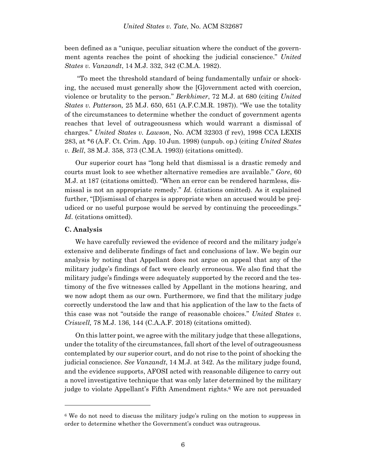been defined as a "unique, peculiar situation where the conduct of the government agents reaches the point of shocking the judicial conscience." *United States v. Vanzandt*, 14 M.J. 332, 342 (C.M.A. 1982).

"To meet the threshold standard of being fundamentally unfair or shocking, the accused must generally show the [G]overnment acted with coercion, violence or brutality to the person." *Berkhimer*, 72 M.J. at 680 (citing *United States v. Patterson,* 25 M.J. 650, 651 (A.F.C.M.R. 1987)). "We use the totality of the circumstances to determine whether the conduct of government agents reaches that level of outrageousness which would warrant a dismissal of charges." *United States v. Lawson*, No. ACM 32303 (f rev), 1998 CCA LEXIS 283, at \*6 (A.F. Ct. Crim. App. 10 Jun. 1998) (unpub. op.) (citing *United States v. Bell*, 38 M.J. 358, 373 (C.M.A. 1993)) (citations omitted).

Our superior court has "long held that dismissal is a drastic remedy and courts must look to see whether alternative remedies are available." *Gore*, 60 M.J. at 187 (citations omitted). "When an error can be rendered harmless, dismissal is not an appropriate remedy." *Id.* (citations omitted)*.* As it explained further, "[D]ismissal of charges is appropriate when an accused would be prejudiced or no useful purpose would be served by continuing the proceedings." *Id*. (citations omitted).

#### **C. Analysis**

l

We have carefully reviewed the evidence of record and the military judge's extensive and deliberate findings of fact and conclusions of law. We begin our analysis by noting that Appellant does not argue on appeal that any of the military judge's findings of fact were clearly erroneous. We also find that the military judge's findings were adequately supported by the record and the testimony of the five witnesses called by Appellant in the motions hearing, and we now adopt them as our own. Furthermore, we find that the military judge correctly understood the law and that his application of the law to the facts of this case was not "outside the range of reasonable choices." *United States v. Criswell,* 78 M.J. 136, 144 (C.A.A.F. 2018) (citations omitted).

On this latter point, we agree with the military judge that these allegations, under the totality of the circumstances, fall short of the level of outrageousness contemplated by our superior court, and do not rise to the point of shocking the judicial conscience. *See Vanzandt*, 14 M.J. at 342. As the military judge found, and the evidence supports, AFOSI acted with reasonable diligence to carry out a novel investigative technique that was only later determined by the military judge to violate Appellant's Fifth Amendment rights.<sup>6</sup> We are not persuaded

<sup>6</sup> We do not need to discuss the military judge's ruling on the motion to suppress in order to determine whether the Government's conduct was outrageous.